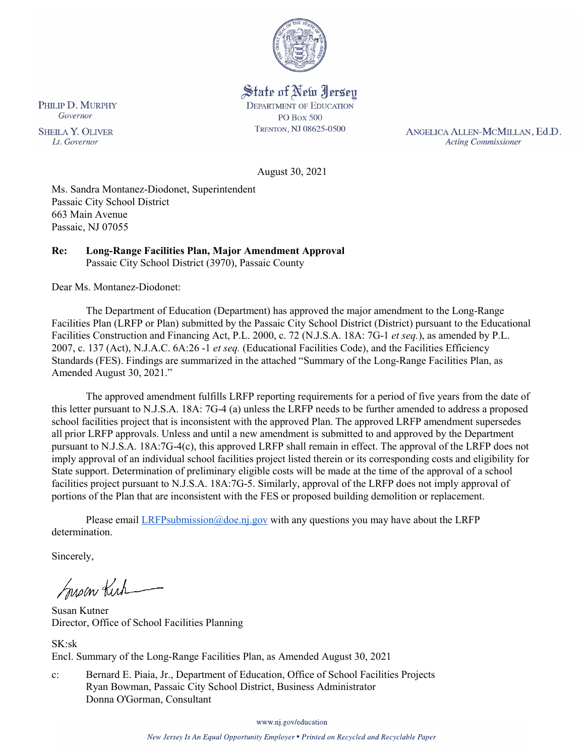

State of New Jersey **DEPARTMENT OF EDUCATION PO Box 500** TRENTON, NJ 08625-0500

ANGELICA ALLEN-MCMILLAN, Ed.D. **Acting Commissioner** 

August 30, 2021

Ms. Sandra Montanez-Diodonet, Superintendent Passaic City School District 663 Main Avenue Passaic, NJ 07055

**Re: Long-Range Facilities Plan, Major Amendment Approval**  Passaic City School District (3970), Passaic County

Dear Ms. Montanez-Diodonet:

The Department of Education (Department) has approved the major amendment to the Long-Range Facilities Plan (LRFP or Plan) submitted by the Passaic City School District (District) pursuant to the Educational Facilities Construction and Financing Act, P.L. 2000, c. 72 (N.J.S.A. 18A: 7G-1 *et seq.*), as amended by P.L. 2007, c. 137 (Act), N.J.A.C. 6A:26 -1 *et seq.* (Educational Facilities Code), and the Facilities Efficiency Standards (FES). Findings are summarized in the attached "Summary of the Long-Range Facilities Plan, as Amended August 30, 2021."

The approved amendment fulfills LRFP reporting requirements for a period of five years from the date of this letter pursuant to N.J.S.A. 18A: 7G-4 (a) unless the LRFP needs to be further amended to address a proposed school facilities project that is inconsistent with the approved Plan. The approved LRFP amendment supersedes all prior LRFP approvals. Unless and until a new amendment is submitted to and approved by the Department pursuant to N.J.S.A. 18A:7G-4(c), this approved LRFP shall remain in effect. The approval of the LRFP does not imply approval of an individual school facilities project listed therein or its corresponding costs and eligibility for State support. Determination of preliminary eligible costs will be made at the time of the approval of a school facilities project pursuant to N.J.S.A. 18A:7G-5. Similarly, approval of the LRFP does not imply approval of portions of the Plan that are inconsistent with the FES or proposed building demolition or replacement.

Please email  $LRFP submission@doe.nj.gov$  with any questions you may have about the LRFP determination.

Sincerely,

Susan Kich

Susan Kutner Director, Office of School Facilities Planning

SK:sk Encl. Summary of the Long-Range Facilities Plan, as Amended August 30, 2021

c: Bernard E. Piaia, Jr., Department of Education, Office of School Facilities Projects Ryan Bowman, Passaic City School District, Business Administrator Donna O'Gorman, Consultant

www.nj.gov/education

PHILIP D. MURPHY Governor

**SHEILA Y. OLIVER** Lt. Governor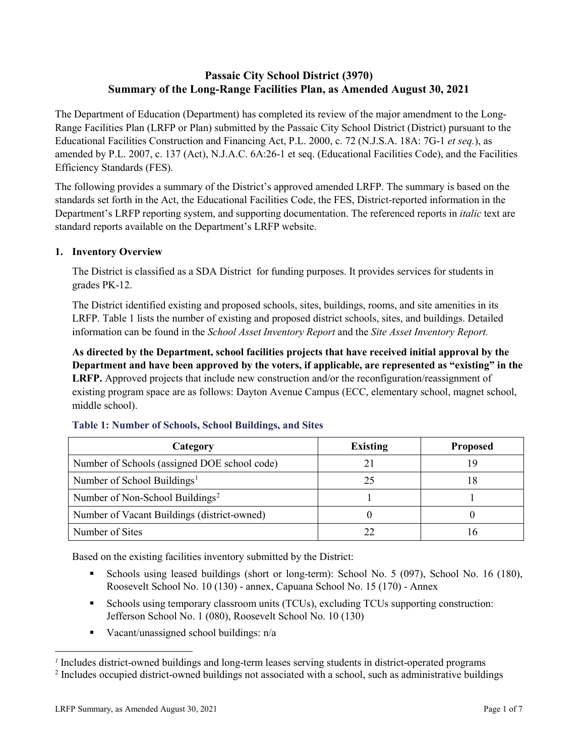# **Passaic City School District (3970) Summary of the Long-Range Facilities Plan, as Amended August 30, 2021**

The Department of Education (Department) has completed its review of the major amendment to the Long-Range Facilities Plan (LRFP or Plan) submitted by the Passaic City School District (District) pursuant to the Educational Facilities Construction and Financing Act, P.L. 2000, c. 72 (N.J.S.A. 18A: 7G-1 *et seq.*), as amended by P.L. 2007, c. 137 (Act), N.J.A.C. 6A:26-1 et seq. (Educational Facilities Code), and the Facilities Efficiency Standards (FES).

The following provides a summary of the District's approved amended LRFP. The summary is based on the standards set forth in the Act, the Educational Facilities Code, the FES, District-reported information in the Department's LRFP reporting system, and supporting documentation. The referenced reports in *italic* text are standard reports available on the Department's LRFP website.

# **1. Inventory Overview**

The District is classified as a SDA District for funding purposes. It provides services for students in grades PK-12.

The District identified existing and proposed schools, sites, buildings, rooms, and site amenities in its LRFP. Table 1 lists the number of existing and proposed district schools, sites, and buildings. Detailed information can be found in the *School Asset Inventory Report* and the *Site Asset Inventory Report.*

**As directed by the Department, school facilities projects that have received initial approval by the Department and have been approved by the voters, if applicable, are represented as "existing" in the LRFP.** Approved projects that include new construction and/or the reconfiguration/reassignment of existing program space are as follows: Dayton Avenue Campus (ECC, elementary school, magnet school, middle school).

| Category                                     | <b>Existing</b> | <b>Proposed</b> |
|----------------------------------------------|-----------------|-----------------|
| Number of Schools (assigned DOE school code) |                 |                 |
| Number of School Buildings <sup>1</sup>      |                 |                 |
| Number of Non-School Buildings <sup>2</sup>  |                 |                 |
| Number of Vacant Buildings (district-owned)  |                 |                 |
| Number of Sites                              |                 |                 |

# **Table 1: Number of Schools, School Buildings, and Sites**

Based on the existing facilities inventory submitted by the District:

- Schools using leased buildings (short or long-term): School No. 5 (097), School No. 16 (180), Roosevelt School No. 10 (130) - annex, Capuana School No. 15 (170) - Annex
- Schools using temporary classroom units (TCUs), excluding TCUs supporting construction: Jefferson School No. 1 (080), Roosevelt School No. 10 (130)
- Vacant/unassigned school buildings:  $n/a$

 $\overline{a}$ 

<span id="page-1-1"></span><span id="page-1-0"></span>*<sup>1</sup>* Includes district-owned buildings and long-term leases serving students in district-operated programs

<sup>&</sup>lt;sup>2</sup> Includes occupied district-owned buildings not associated with a school, such as administrative buildings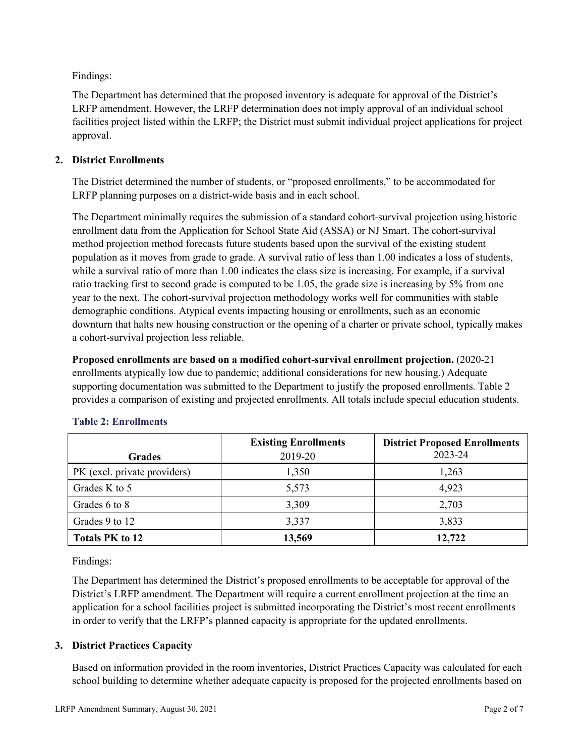Findings:

The Department has determined that the proposed inventory is adequate for approval of the District's LRFP amendment. However, the LRFP determination does not imply approval of an individual school facilities project listed within the LRFP; the District must submit individual project applications for project approval.

# **2. District Enrollments**

The District determined the number of students, or "proposed enrollments," to be accommodated for LRFP planning purposes on a district-wide basis and in each school.

The Department minimally requires the submission of a standard cohort-survival projection using historic enrollment data from the Application for School State Aid (ASSA) or NJ Smart. The cohort-survival method projection method forecasts future students based upon the survival of the existing student population as it moves from grade to grade. A survival ratio of less than 1.00 indicates a loss of students, while a survival ratio of more than 1.00 indicates the class size is increasing. For example, if a survival ratio tracking first to second grade is computed to be 1.05, the grade size is increasing by 5% from one year to the next. The cohort-survival projection methodology works well for communities with stable demographic conditions. Atypical events impacting housing or enrollments, such as an economic downturn that halts new housing construction or the opening of a charter or private school, typically makes a cohort-survival projection less reliable.

**Proposed enrollments are based on a modified cohort-survival enrollment projection.** (2020-21 enrollments atypically low due to pandemic; additional considerations for new housing.) Adequate supporting documentation was submitted to the Department to justify the proposed enrollments. Table 2 provides a comparison of existing and projected enrollments. All totals include special education students.

|                              | <b>Existing Enrollments</b> | <b>District Proposed Enrollments</b> |
|------------------------------|-----------------------------|--------------------------------------|
| <b>Grades</b>                | 2019-20                     | 2023-24                              |
| PK (excl. private providers) | 1,350                       | 1,263                                |
| Grades K to 5                | 5,573                       | 4,923                                |
| Grades 6 to 8                | 3,309                       | 2,703                                |
| Grades 9 to 12               | 3,337                       | 3,833                                |
| <b>Totals PK to 12</b>       | 13,569                      | 12,722                               |

# **Table 2: Enrollments**

Findings:

The Department has determined the District's proposed enrollments to be acceptable for approval of the District's LRFP amendment. The Department will require a current enrollment projection at the time an application for a school facilities project is submitted incorporating the District's most recent enrollments in order to verify that the LRFP's planned capacity is appropriate for the updated enrollments.

# **3. District Practices Capacity**

Based on information provided in the room inventories, District Practices Capacity was calculated for each school building to determine whether adequate capacity is proposed for the projected enrollments based on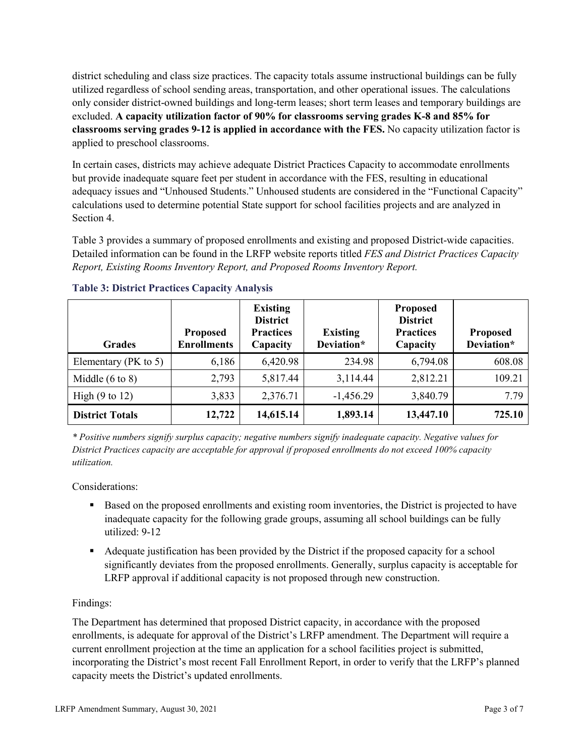district scheduling and class size practices. The capacity totals assume instructional buildings can be fully utilized regardless of school sending areas, transportation, and other operational issues. The calculations only consider district-owned buildings and long-term leases; short term leases and temporary buildings are excluded. **A capacity utilization factor of 90% for classrooms serving grades K-8 and 85% for classrooms serving grades 9-12 is applied in accordance with the FES.** No capacity utilization factor is applied to preschool classrooms.

In certain cases, districts may achieve adequate District Practices Capacity to accommodate enrollments but provide inadequate square feet per student in accordance with the FES, resulting in educational adequacy issues and "Unhoused Students." Unhoused students are considered in the "Functional Capacity" calculations used to determine potential State support for school facilities projects and are analyzed in Section 4.

Table 3 provides a summary of proposed enrollments and existing and proposed District-wide capacities. Detailed information can be found in the LRFP website reports titled *FES and District Practices Capacity Report, Existing Rooms Inventory Report, and Proposed Rooms Inventory Report.*

| <b>Grades</b>              | <b>Proposed</b><br><b>Enrollments</b> | <b>Existing</b><br><b>District</b><br><b>Practices</b><br>Capacity | <b>Existing</b><br>Deviation* | <b>Proposed</b><br><b>District</b><br><b>Practices</b><br>Capacity | <b>Proposed</b><br>Deviation* |
|----------------------------|---------------------------------------|--------------------------------------------------------------------|-------------------------------|--------------------------------------------------------------------|-------------------------------|
| Elementary ( $PK$ to 5)    | 6,186                                 | 6,420.98                                                           | 234.98                        | 6,794.08                                                           | 608.08                        |
| Middle $(6 \text{ to } 8)$ | 2,793                                 | 5,817.44                                                           | 3,114.44                      | 2,812.21                                                           | 109.21                        |
| High $(9 \text{ to } 12)$  | 3,833                                 | 2,376.71                                                           | $-1,456.29$                   | 3,840.79                                                           | 7.79                          |
| <b>District Totals</b>     | 12,722                                | 14,615.14                                                          | 1,893.14                      | 13,447.10                                                          | 725.10                        |

# **Table 3: District Practices Capacity Analysis**

*\* Positive numbers signify surplus capacity; negative numbers signify inadequate capacity. Negative values for District Practices capacity are acceptable for approval if proposed enrollments do not exceed 100% capacity utilization.*

Considerations:

- Based on the proposed enrollments and existing room inventories, the District is projected to have inadequate capacity for the following grade groups, assuming all school buildings can be fully utilized: 9-12
- Adequate justification has been provided by the District if the proposed capacity for a school significantly deviates from the proposed enrollments. Generally, surplus capacity is acceptable for LRFP approval if additional capacity is not proposed through new construction.

# Findings:

The Department has determined that proposed District capacity, in accordance with the proposed enrollments, is adequate for approval of the District's LRFP amendment. The Department will require a current enrollment projection at the time an application for a school facilities project is submitted, incorporating the District's most recent Fall Enrollment Report, in order to verify that the LRFP's planned capacity meets the District's updated enrollments.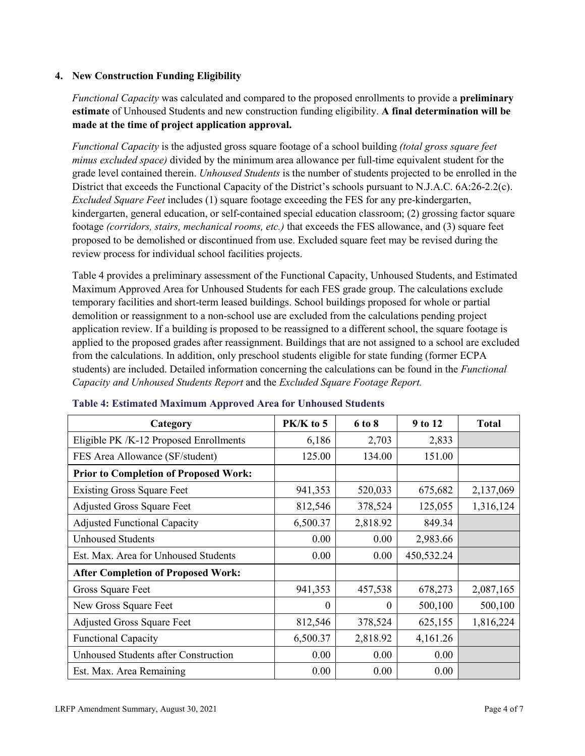# **4. New Construction Funding Eligibility**

*Functional Capacity* was calculated and compared to the proposed enrollments to provide a **preliminary estimate** of Unhoused Students and new construction funding eligibility. **A final determination will be made at the time of project application approval.**

*Functional Capacity* is the adjusted gross square footage of a school building *(total gross square feet minus excluded space)* divided by the minimum area allowance per full-time equivalent student for the grade level contained therein. *Unhoused Students* is the number of students projected to be enrolled in the District that exceeds the Functional Capacity of the District's schools pursuant to N.J.A.C. 6A:26-2.2(c). *Excluded Square Feet* includes (1) square footage exceeding the FES for any pre-kindergarten, kindergarten, general education, or self-contained special education classroom; (2) grossing factor square footage *(corridors, stairs, mechanical rooms, etc.)* that exceeds the FES allowance, and (3) square feet proposed to be demolished or discontinued from use. Excluded square feet may be revised during the review process for individual school facilities projects.

Table 4 provides a preliminary assessment of the Functional Capacity, Unhoused Students, and Estimated Maximum Approved Area for Unhoused Students for each FES grade group. The calculations exclude temporary facilities and short-term leased buildings. School buildings proposed for whole or partial demolition or reassignment to a non-school use are excluded from the calculations pending project application review. If a building is proposed to be reassigned to a different school, the square footage is applied to the proposed grades after reassignment. Buildings that are not assigned to a school are excluded from the calculations. In addition, only preschool students eligible for state funding (former ECPA students) are included. Detailed information concerning the calculations can be found in the *Functional Capacity and Unhoused Students Report* and the *Excluded Square Footage Report.*

| Category                                     | PK/K to 5 | 6 to 8   | 9 to 12    | <b>Total</b> |
|----------------------------------------------|-----------|----------|------------|--------------|
| Eligible PK /K-12 Proposed Enrollments       | 6,186     | 2,703    | 2,833      |              |
| FES Area Allowance (SF/student)              | 125.00    | 134.00   | 151.00     |              |
| <b>Prior to Completion of Proposed Work:</b> |           |          |            |              |
| <b>Existing Gross Square Feet</b>            | 941,353   | 520,033  | 675,682    | 2,137,069    |
| <b>Adjusted Gross Square Feet</b>            | 812,546   | 378,524  | 125,055    | 1,316,124    |
| <b>Adjusted Functional Capacity</b>          | 6,500.37  | 2,818.92 | 849.34     |              |
| Unhoused Students                            | 0.00      | 0.00     | 2,983.66   |              |
| Est. Max. Area for Unhoused Students         | 0.00      | 0.00     | 450,532.24 |              |
| <b>After Completion of Proposed Work:</b>    |           |          |            |              |
| Gross Square Feet                            | 941,353   | 457,538  | 678,273    | 2,087,165    |
| New Gross Square Feet                        | $\theta$  | $\theta$ | 500,100    | 500,100      |
| <b>Adjusted Gross Square Feet</b>            | 812,546   | 378,524  | 625,155    | 1,816,224    |
| <b>Functional Capacity</b>                   | 6,500.37  | 2,818.92 | 4,161.26   |              |
| <b>Unhoused Students after Construction</b>  | 0.00      | 0.00     | 0.00       |              |
| Est. Max. Area Remaining                     | 0.00      | 0.00     | 0.00       |              |

#### **Table 4: Estimated Maximum Approved Area for Unhoused Students**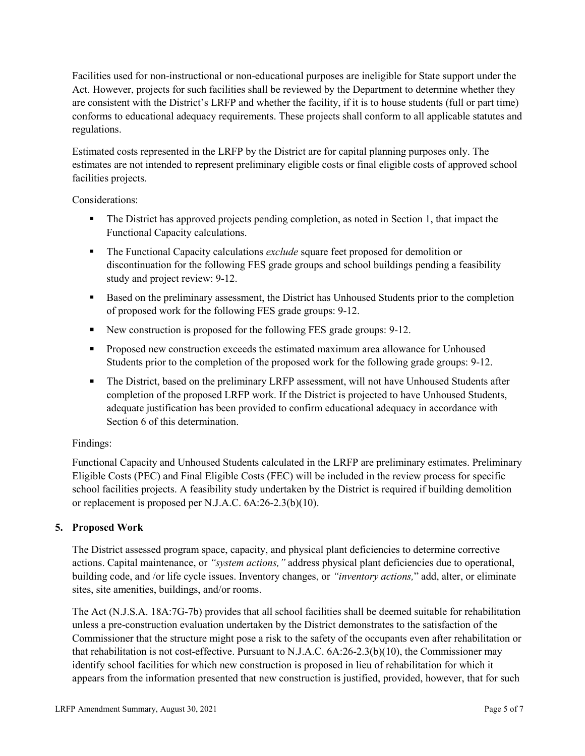Facilities used for non-instructional or non-educational purposes are ineligible for State support under the Act. However, projects for such facilities shall be reviewed by the Department to determine whether they are consistent with the District's LRFP and whether the facility, if it is to house students (full or part time) conforms to educational adequacy requirements. These projects shall conform to all applicable statutes and regulations.

Estimated costs represented in the LRFP by the District are for capital planning purposes only. The estimates are not intended to represent preliminary eligible costs or final eligible costs of approved school facilities projects.

Considerations:

- The District has approved projects pending completion, as noted in Section 1, that impact the Functional Capacity calculations.
- **The Functional Capacity calculations** *exclude* square feet proposed for demolition or discontinuation for the following FES grade groups and school buildings pending a feasibility study and project review: 9-12.
- Based on the preliminary assessment, the District has Unhoused Students prior to the completion of proposed work for the following FES grade groups: 9-12.
- New construction is proposed for the following FES grade groups: 9-12.
- Proposed new construction exceeds the estimated maximum area allowance for Unhoused Students prior to the completion of the proposed work for the following grade groups: 9-12.
- The District, based on the preliminary LRFP assessment, will not have Unhoused Students after completion of the proposed LRFP work. If the District is projected to have Unhoused Students, adequate justification has been provided to confirm educational adequacy in accordance with Section 6 of this determination.

# Findings:

Functional Capacity and Unhoused Students calculated in the LRFP are preliminary estimates. Preliminary Eligible Costs (PEC) and Final Eligible Costs (FEC) will be included in the review process for specific school facilities projects. A feasibility study undertaken by the District is required if building demolition or replacement is proposed per N.J.A.C. 6A:26-2.3(b)(10).

# **5. Proposed Work**

The District assessed program space, capacity, and physical plant deficiencies to determine corrective actions. Capital maintenance, or *"system actions,"* address physical plant deficiencies due to operational, building code, and /or life cycle issues. Inventory changes, or *"inventory actions,*" add, alter, or eliminate sites, site amenities, buildings, and/or rooms.

The Act (N.J.S.A. 18A:7G-7b) provides that all school facilities shall be deemed suitable for rehabilitation unless a pre-construction evaluation undertaken by the District demonstrates to the satisfaction of the Commissioner that the structure might pose a risk to the safety of the occupants even after rehabilitation or that rehabilitation is not cost-effective. Pursuant to N.J.A.C. 6A:26-2.3(b)(10), the Commissioner may identify school facilities for which new construction is proposed in lieu of rehabilitation for which it appears from the information presented that new construction is justified, provided, however, that for such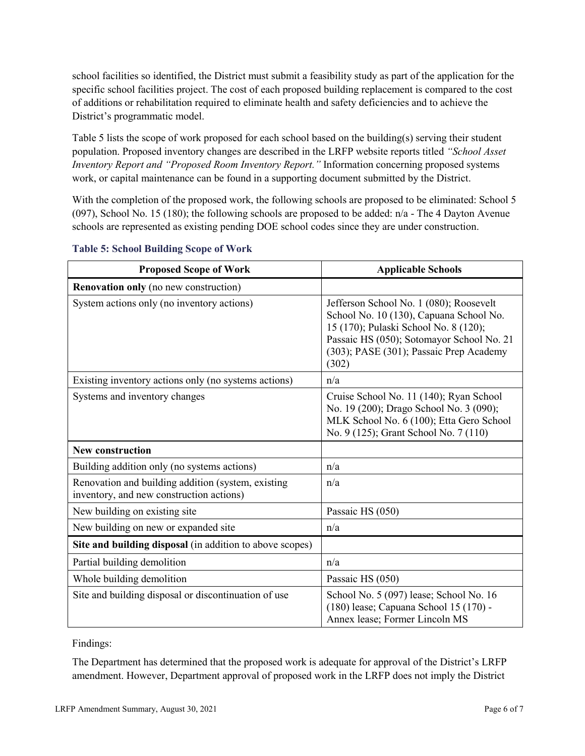school facilities so identified, the District must submit a feasibility study as part of the application for the specific school facilities project. The cost of each proposed building replacement is compared to the cost of additions or rehabilitation required to eliminate health and safety deficiencies and to achieve the District's programmatic model.

Table 5 lists the scope of work proposed for each school based on the building(s) serving their student population. Proposed inventory changes are described in the LRFP website reports titled *"School Asset Inventory Report and "Proposed Room Inventory Report."* Information concerning proposed systems work, or capital maintenance can be found in a supporting document submitted by the District.

With the completion of the proposed work, the following schools are proposed to be eliminated: School 5 (097), School No. 15 (180); the following schools are proposed to be added: n/a - The 4 Dayton Avenue schools are represented as existing pending DOE school codes since they are under construction.

| <b>Proposed Scope of Work</b>                                                                  | <b>Applicable Schools</b>                                                                                                                                                                                                    |
|------------------------------------------------------------------------------------------------|------------------------------------------------------------------------------------------------------------------------------------------------------------------------------------------------------------------------------|
| <b>Renovation only</b> (no new construction)                                                   |                                                                                                                                                                                                                              |
| System actions only (no inventory actions)                                                     | Jefferson School No. 1 (080); Roosevelt<br>School No. 10 (130), Capuana School No.<br>15 (170); Pulaski School No. 8 (120);<br>Passaic HS (050); Sotomayor School No. 21<br>(303); PASE (301); Passaic Prep Academy<br>(302) |
| Existing inventory actions only (no systems actions)                                           | n/a                                                                                                                                                                                                                          |
| Systems and inventory changes                                                                  | Cruise School No. 11 (140); Ryan School<br>No. 19 (200); Drago School No. 3 (090);<br>MLK School No. 6 (100); Etta Gero School<br>No. 9 (125); Grant School No. 7 (110)                                                      |
| <b>New construction</b>                                                                        |                                                                                                                                                                                                                              |
| Building addition only (no systems actions)                                                    | n/a                                                                                                                                                                                                                          |
| Renovation and building addition (system, existing<br>inventory, and new construction actions) | n/a                                                                                                                                                                                                                          |
| New building on existing site                                                                  | Passaic HS (050)                                                                                                                                                                                                             |
| New building on new or expanded site                                                           | n/a                                                                                                                                                                                                                          |
| Site and building disposal (in addition to above scopes)                                       |                                                                                                                                                                                                                              |
| Partial building demolition                                                                    | n/a                                                                                                                                                                                                                          |
| Whole building demolition                                                                      | Passaic HS (050)                                                                                                                                                                                                             |
| Site and building disposal or discontinuation of use                                           | School No. 5 (097) lease; School No. 16<br>(180) lease; Capuana School 15 (170) -<br>Annex lease; Former Lincoln MS                                                                                                          |

#### **Table 5: School Building Scope of Work**

Findings:

The Department has determined that the proposed work is adequate for approval of the District's LRFP amendment. However, Department approval of proposed work in the LRFP does not imply the District